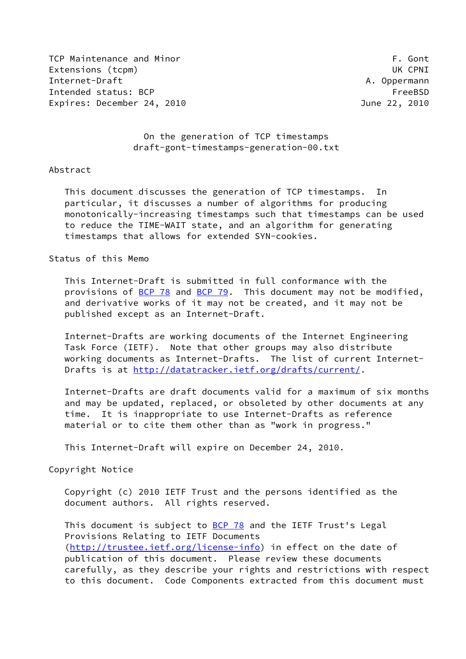TCP Maintenance and Minor TCP Maintenance and Minor Extensions (tcpm) UK CPNI Internet-Draft A. Oppermann Intended status: BCP FreeBSD Expires: December 24, 2010 June 22, 2010

 On the generation of TCP timestamps draft-gont-timestamps-generation-00.txt

### Abstract

 This document discusses the generation of TCP timestamps. In particular, it discusses a number of algorithms for producing monotonically-increasing timestamps such that timestamps can be used to reduce the TIME-WAIT state, and an algorithm for generating timestamps that allows for extended SYN-cookies.

## Status of this Memo

 This Internet-Draft is submitted in full conformance with the provisions of [BCP 78](https://datatracker.ietf.org/doc/pdf/bcp78) and [BCP 79](https://datatracker.ietf.org/doc/pdf/bcp79). This document may not be modified, and derivative works of it may not be created, and it may not be published except as an Internet-Draft.

 Internet-Drafts are working documents of the Internet Engineering Task Force (IETF). Note that other groups may also distribute working documents as Internet-Drafts. The list of current Internet Drafts is at<http://datatracker.ietf.org/drafts/current/>.

 Internet-Drafts are draft documents valid for a maximum of six months and may be updated, replaced, or obsoleted by other documents at any time. It is inappropriate to use Internet-Drafts as reference material or to cite them other than as "work in progress."

This Internet-Draft will expire on December 24, 2010.

Copyright Notice

 Copyright (c) 2010 IETF Trust and the persons identified as the document authors. All rights reserved.

This document is subject to **[BCP 78](https://datatracker.ietf.org/doc/pdf/bcp78)** and the IETF Trust's Legal Provisions Relating to IETF Documents [\(http://trustee.ietf.org/license-info](http://trustee.ietf.org/license-info)) in effect on the date of publication of this document. Please review these documents carefully, as they describe your rights and restrictions with respect to this document. Code Components extracted from this document must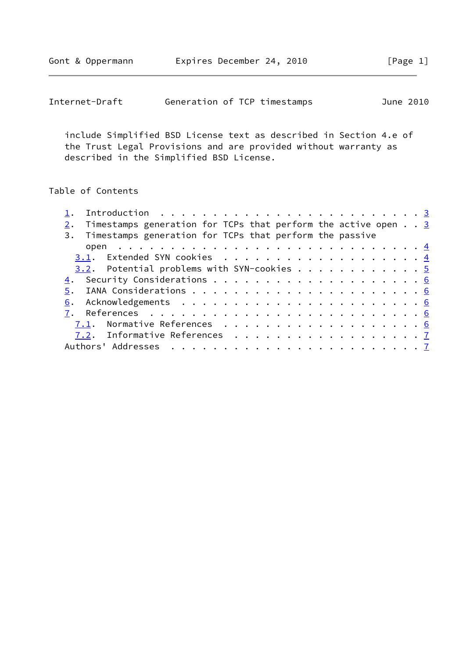| Internet-Draft | Generation of TCP timestamps |  |  | June 2010 |  |
|----------------|------------------------------|--|--|-----------|--|
|----------------|------------------------------|--|--|-----------|--|

 include Simplified BSD License text as described in Section 4.e of the Trust Legal Provisions and are provided without warranty as described in the Simplified BSD License.

# Table of Contents

| Introduction $\ldots \ldots \ldots \ldots \ldots \ldots \ldots \ldots$ |  |
|------------------------------------------------------------------------|--|
| Timestamps generation for TCPs that perform the active open $\ldots$ 3 |  |
| 3. Timestamps generation for TCPs that perform the passive             |  |
|                                                                        |  |
|                                                                        |  |
|                                                                        |  |
|                                                                        |  |
|                                                                        |  |
|                                                                        |  |
|                                                                        |  |
|                                                                        |  |
| 7.2. Informative References 7                                          |  |
|                                                                        |  |
|                                                                        |  |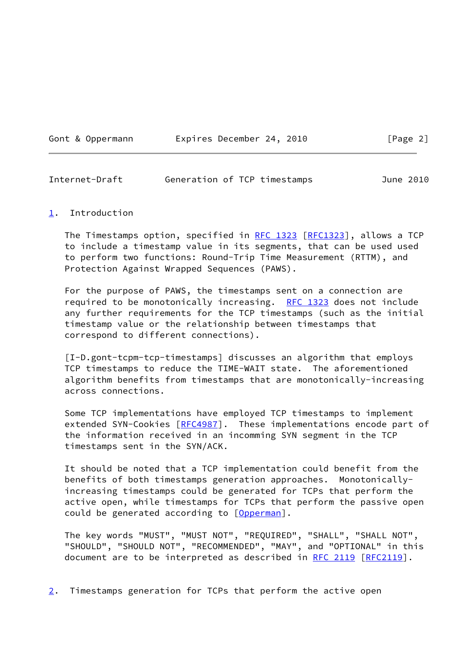Gont & Oppermann Expires December 24, 2010 [Page 2]

<span id="page-2-1"></span>Internet-Draft Generation of TCP timestamps June 2010

#### <span id="page-2-0"></span>[1](#page-2-0). Introduction

The Timestamps option, specified in [RFC 1323 \[RFC1323](https://datatracker.ietf.org/doc/pdf/rfc1323)], allows a TCP to include a timestamp value in its segments, that can be used used to perform two functions: Round-Trip Time Measurement (RTTM), and Protection Against Wrapped Sequences (PAWS).

 For the purpose of PAWS, the timestamps sent on a connection are required to be monotonically increasing. [RFC 1323](https://datatracker.ietf.org/doc/pdf/rfc1323) does not include any further requirements for the TCP timestamps (such as the initial timestamp value or the relationship between timestamps that correspond to different connections).

 [I-D.gont-tcpm-tcp-timestamps] discusses an algorithm that employs TCP timestamps to reduce the TIME-WAIT state. The aforementioned algorithm benefits from timestamps that are monotonically-increasing across connections.

 Some TCP implementations have employed TCP timestamps to implement extended SYN-Cookies [\[RFC4987](https://datatracker.ietf.org/doc/pdf/rfc4987)]. These implementations encode part of the information received in an incomming SYN segment in the TCP timestamps sent in the SYN/ACK.

 It should be noted that a TCP implementation could benefit from the benefits of both timestamps generation approaches. Monotonically increasing timestamps could be generated for TCPs that perform the active open, while timestamps for TCPs that perform the passive open could be generated according to [\[Opperman](#page-7-0)].

 The key words "MUST", "MUST NOT", "REQUIRED", "SHALL", "SHALL NOT", "SHOULD", "SHOULD NOT", "RECOMMENDED", "MAY", and "OPTIONAL" in this document are to be interpreted as described in [RFC 2119 \[RFC2119](https://datatracker.ietf.org/doc/pdf/rfc2119)].

<span id="page-2-2"></span>[2](#page-2-2). Timestamps generation for TCPs that perform the active open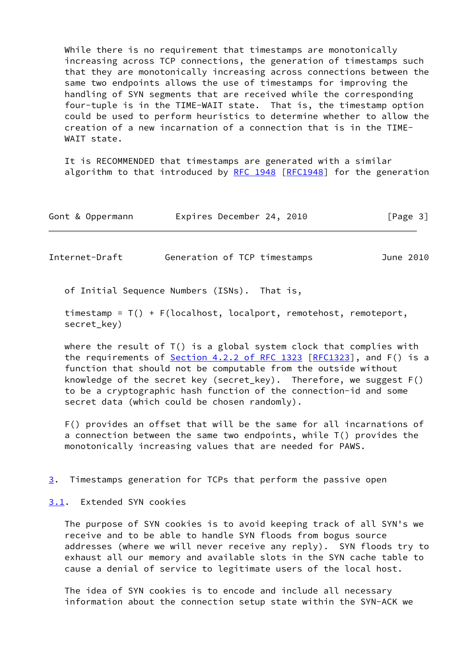While there is no requirement that timestamps are monotonically increasing across TCP connections, the generation of timestamps such that they are monotonically increasing across connections between the same two endpoints allows the use of timestamps for improving the handling of SYN segments that are received while the corresponding four-tuple is in the TIME-WAIT state. That is, the timestamp option could be used to perform heuristics to determine whether to allow the creation of a new incarnation of a connection that is in the TIME- WAIT state.

 It is RECOMMENDED that timestamps are generated with a similar algorithm to that introduced by [RFC 1948](https://datatracker.ietf.org/doc/pdf/rfc1948) [\[RFC1948](https://datatracker.ietf.org/doc/pdf/rfc1948)] for the generation

| Gont & Oppermann | Expires December 24, 2010 |  | [Page 3] |
|------------------|---------------------------|--|----------|
|------------------|---------------------------|--|----------|

<span id="page-3-0"></span>Internet-Draft Generation of TCP timestamps June 2010

of Initial Sequence Numbers (ISNs). That is,

 timestamp = T() + F(localhost, localport, remotehost, remoteport, secret key)

where the result of T() is a global system clock that complies with the requirements of **Section 4.2.2 of RFC 1323** [[RFC1323](https://datatracker.ietf.org/doc/pdf/rfc1323)], and F() is a function that should not be computable from the outside without knowledge of the secret key (secret\_key). Therefore, we suggest F() to be a cryptographic hash function of the connection-id and some secret data (which could be chosen randomly).

 F() provides an offset that will be the same for all incarnations of a connection between the same two endpoints, while T() provides the monotonically increasing values that are needed for PAWS.

<span id="page-3-2"></span>[3](#page-3-2). Timestamps generation for TCPs that perform the passive open

<span id="page-3-1"></span>[3.1](#page-3-1). Extended SYN cookies

 The purpose of SYN cookies is to avoid keeping track of all SYN's we receive and to be able to handle SYN floods from bogus source addresses (where we will never receive any reply). SYN floods try to exhaust all our memory and available slots in the SYN cache table to cause a denial of service to legitimate users of the local host.

 The idea of SYN cookies is to encode and include all necessary information about the connection setup state within the SYN-ACK we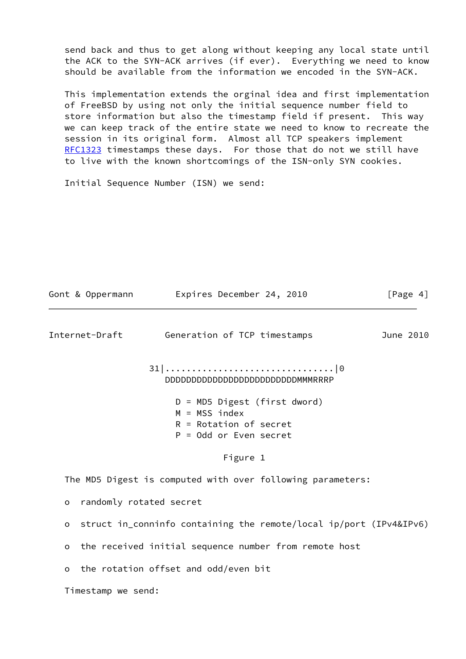send back and thus to get along without keeping any local state until the ACK to the SYN-ACK arrives (if ever). Everything we need to know should be available from the information we encoded in the SYN-ACK.

 This implementation extends the orginal idea and first implementation of FreeBSD by using not only the initial sequence number field to store information but also the timestamp field if present. This way we can keep track of the entire state we need to know to recreate the session in its original form. Almost all TCP speakers implement [RFC1323](https://datatracker.ietf.org/doc/pdf/rfc1323) timestamps these days. For those that do not we still have to live with the known shortcomings of the ISN-only SYN cookies.

Initial Sequence Number (ISN) we send:

<span id="page-4-0"></span>

|                                    | Gont & Oppermann            Expires December 24, 2010                                                     | [Page 4]  |
|------------------------------------|-----------------------------------------------------------------------------------------------------------|-----------|
|                                    | Internet-Draft Generation of TCP timestamps                                                               | June 2010 |
|                                    | DDDDDDDDDDDDDDDDDDDDDDDDMMMRRRP                                                                           |           |
|                                    | $D = MD5$ Digest (first dword)<br>$M = MSS$ index<br>$R = Rotation$ of secret<br>$P = Odd$ or Even secret |           |
|                                    | Figure 1                                                                                                  |           |
|                                    | The MD5 Digest is computed with over following parameters:                                                |           |
| randomly rotated secret<br>$\circ$ |                                                                                                           |           |
| $\circ$                            | struct in_conninfo containing the remote/local ip/port (IPv4&IPv6)                                        |           |
| $\circ$                            | the received initial sequence number from remote host                                                     |           |
| $\circ$                            | the rotation offset and odd/even bit                                                                      |           |
| Timestamp we send:                 |                                                                                                           |           |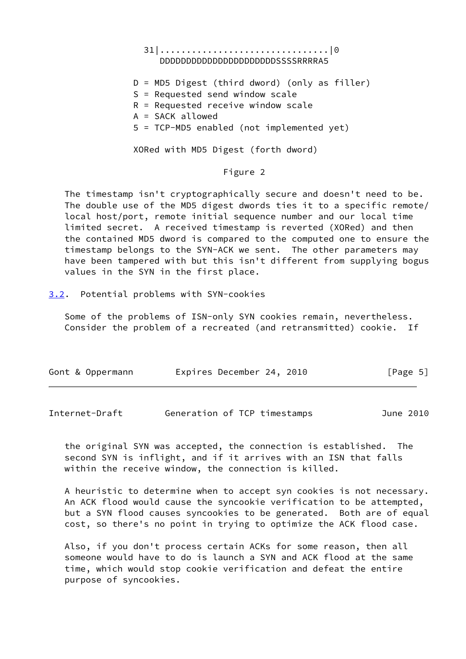## 31|................................|0 DDDDDDDDDDDDDDDDDDDDDDSSSSRRRRA5

 D = MD5 Digest (third dword) (only as filler) S = Requested send window scale R = Requested receive window scale A = SACK allowed

5 = TCP-MD5 enabled (not implemented yet)

XORed with MD5 Digest (forth dword)

### Figure 2

 The timestamp isn't cryptographically secure and doesn't need to be. The double use of the MD5 digest dwords ties it to a specific remote/ local host/port, remote initial sequence number and our local time limited secret. A received timestamp is reverted (XORed) and then the contained MD5 dword is compared to the computed one to ensure the timestamp belongs to the SYN-ACK we sent. The other parameters may have been tampered with but this isn't different from supplying bogus values in the SYN in the first place.

<span id="page-5-0"></span>[3.2](#page-5-0). Potential problems with SYN-cookies

 Some of the problems of ISN-only SYN cookies remain, nevertheless. Consider the problem of a recreated (and retransmitted) cookie. If

| Gont & Oppermann | Expires December 24, 2010 | [Page 5] |
|------------------|---------------------------|----------|
|                  |                           |          |

<span id="page-5-1"></span>Internet-Draft Generation of TCP timestamps June 2010

 the original SYN was accepted, the connection is established. The second SYN is inflight, and if it arrives with an ISN that falls within the receive window, the connection is killed.

 A heuristic to determine when to accept syn cookies is not necessary. An ACK flood would cause the syncookie verification to be attempted, but a SYN flood causes syncookies to be generated. Both are of equal cost, so there's no point in trying to optimize the ACK flood case.

 Also, if you don't process certain ACKs for some reason, then all someone would have to do is launch a SYN and ACK flood at the same time, which would stop cookie verification and defeat the entire purpose of syncookies.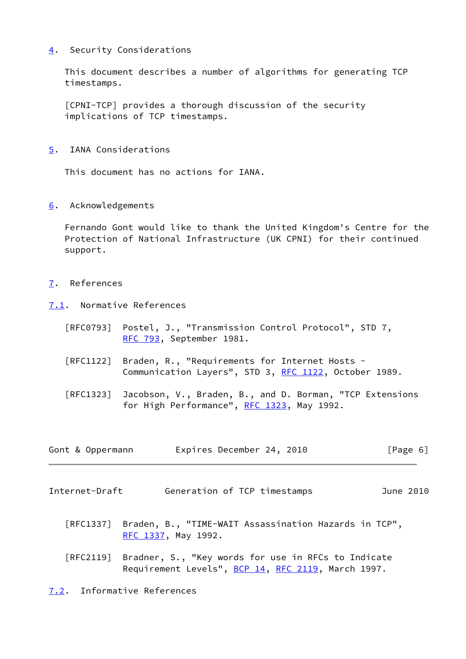## <span id="page-6-0"></span>[4](#page-6-0). Security Considerations

 This document describes a number of algorithms for generating TCP timestamps.

 [CPNI-TCP] provides a thorough discussion of the security implications of TCP timestamps.

<span id="page-6-1"></span>[5](#page-6-1). IANA Considerations

This document has no actions for IANA.

<span id="page-6-2"></span>[6](#page-6-2). Acknowledgements

 Fernando Gont would like to thank the United Kingdom's Centre for the Protection of National Infrastructure (UK CPNI) for their continued support.

- <span id="page-6-3"></span>[7](#page-6-3). References
- <span id="page-6-4"></span>[7.1](#page-6-4). Normative References
	- [RFC0793] Postel, J., "Transmission Control Protocol", STD 7, [RFC 793](https://datatracker.ietf.org/doc/pdf/rfc793), September 1981.
	- [RFC1122] Braden, R., "Requirements for Internet Hosts Communication Layers", STD 3, [RFC 1122](https://datatracker.ietf.org/doc/pdf/rfc1122), October 1989.
	- [RFC1323] Jacobson, V., Braden, B., and D. Borman, "TCP Extensions for High Performance", [RFC 1323](https://datatracker.ietf.org/doc/pdf/rfc1323), May 1992.

| Gont & Oppermann | Expires December 24, 2010 | [Page 6] |
|------------------|---------------------------|----------|
|------------------|---------------------------|----------|

- <span id="page-6-6"></span><span id="page-6-5"></span>Internet-Draft Generation of TCP timestamps June 2010
	- [RFC1337] Braden, B., "TIME-WAIT Assassination Hazards in TCP", [RFC 1337,](https://datatracker.ietf.org/doc/pdf/rfc1337) May 1992.
	- [RFC2119] Bradner, S., "Key words for use in RFCs to Indicate Requirement Levels", [BCP 14](https://datatracker.ietf.org/doc/pdf/bcp14), [RFC 2119](https://datatracker.ietf.org/doc/pdf/rfc2119), March 1997.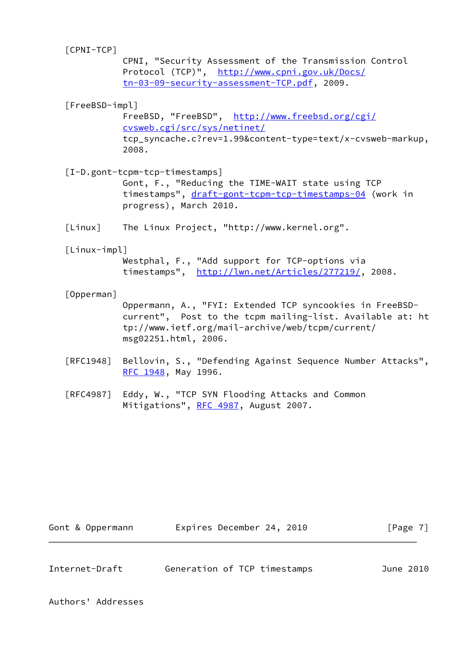| $[CPNI-TCP]$   |                                                                                                                                                        |
|----------------|--------------------------------------------------------------------------------------------------------------------------------------------------------|
|                | CPNI, "Security Assessment of the Transmission Control<br>Protocol (TCP)", http://www.cpni.gov.uk/Docs/<br>tn-03-09-security-assessment-TCP.pdf, 2009. |
|                |                                                                                                                                                        |
| [FreeBSD-impl] |                                                                                                                                                        |
|                | FreeBSD, "FreeBSD", http://www.freebsd.org/cgi/                                                                                                        |
|                | cvsweb.cgi/src/sys/netinet/                                                                                                                            |
|                | tcp_syncache.c?rev=1.99&content-type=text/x-cvsweb-markup,<br>2008.                                                                                    |
|                | [I-D.gont-tcpm-tcp-timestamps]                                                                                                                         |
|                | Gont, F., "Reducing the TIME-WAIT state using TCP                                                                                                      |
|                | timestamps", draft-gont-tcpm-tcp-timestamps-04 (work in                                                                                                |
|                | progress), March 2010.                                                                                                                                 |
| [Linux]        | The Linux Project, "http://www.kernel.org".                                                                                                            |
| [Linux-impl]   |                                                                                                                                                        |
|                | Westphal, F., "Add support for TCP-options via                                                                                                         |
|                | timestamps", http://lwn.net/Articles/277219/, 2008.                                                                                                    |
| [Opperman]     |                                                                                                                                                        |
|                | Oppermann, A., "FYI: Extended TCP syncookies in FreeBSD-                                                                                               |
|                | current", Post to the tcpm mailing-list. Available at: ht                                                                                              |
|                | tp://www.ietf.org/mail-archive/web/tcpm/current/                                                                                                       |
|                | msg02251.html, 2006.                                                                                                                                   |
| [RFC1948]      | Bellovin, S., "Defending Against Sequence Number Attacks",                                                                                             |
|                | RFC 1948, May 1996.                                                                                                                                    |
| [RFC4987]      | Eddy, W., "TCP SYN Flooding Attacks and Common                                                                                                         |
|                | Mitigations", RFC 4987, August 2007.                                                                                                                   |
|                |                                                                                                                                                        |
|                |                                                                                                                                                        |

| Internet-Draft | Generation of TCP timestamps |  | June 2010 |  |
|----------------|------------------------------|--|-----------|--|

<span id="page-7-0"></span>Gont & Oppermann Expires December 24, 2010 [Page 7]